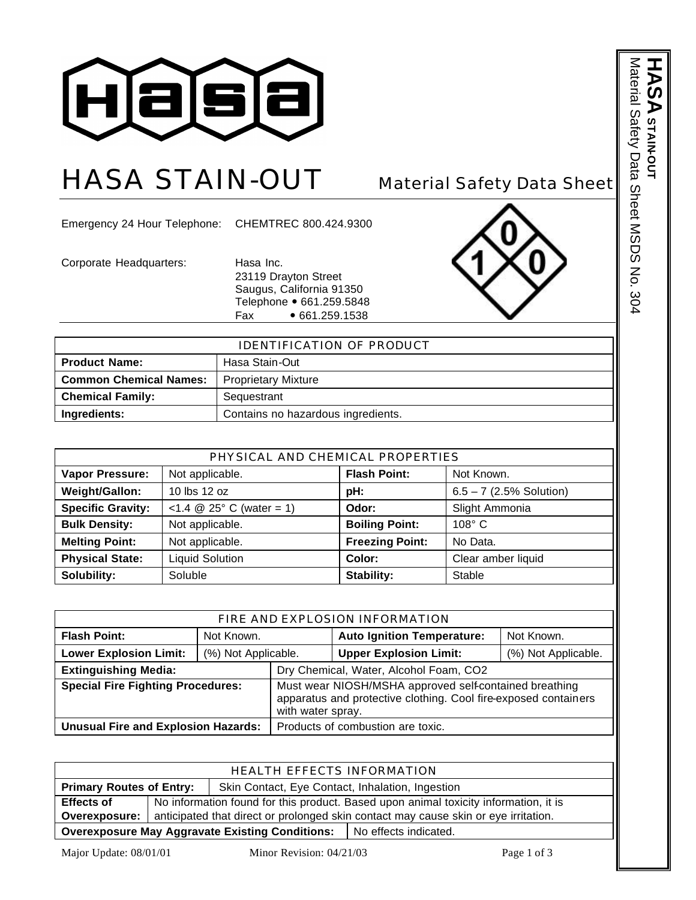

## HASA STAIN-OUT Material Safety Data Sheet

Emergency 24 Hour Telephone: CHEMTREC 800.424.9300

Corporate Headquarters: Hasa Inc.

23119 Drayton Street Saugus, California 91350 Telephone • 661.259.5848 Fax • 661.259.1538



| <b>IDENTIFICATION OF PRODUCT</b>                            |                                    |  |
|-------------------------------------------------------------|------------------------------------|--|
| <b>Product Name:</b>                                        | Hasa Stain-Out                     |  |
| <b>Common Chemical Names:</b><br><b>Proprietary Mixture</b> |                                    |  |
| <b>Chemical Family:</b>                                     | Sequestrant                        |  |
| Ingredients:                                                | Contains no hazardous ingredients. |  |

| PHYSICAL AND CHEMICAL PROPERTIES                                                          |                        |                        |                           |  |
|-------------------------------------------------------------------------------------------|------------------------|------------------------|---------------------------|--|
| <b>Flash Point:</b><br><b>Vapor Pressure:</b><br>Not applicable.<br>Not Known.            |                        |                        |                           |  |
| Weight/Gallon:                                                                            | 10 lbs 12 oz           | pH:                    | $6.5 - 7$ (2.5% Solution) |  |
| <b>Specific Gravity:</b><br><1.4 $\circledR$ 25° C (water = 1)<br>Slight Ammonia<br>Odor: |                        |                        |                           |  |
| <b>Bulk Density:</b>                                                                      | Not applicable.        | <b>Boiling Point:</b>  | $108^\circ$ C             |  |
| <b>Melting Point:</b>                                                                     | Not applicable.        | <b>Freezing Point:</b> | No Data.                  |  |
| <b>Physical State:</b>                                                                    | <b>Liquid Solution</b> | Color:                 | Clear amber liquid        |  |
| Solubility:                                                                               | Soluble                | Stability:             | Stable                    |  |

| FIRE AND EXPLOSION INFORMATION                                |                     |                                                                                                                           |                                        |                     |
|---------------------------------------------------------------|---------------------|---------------------------------------------------------------------------------------------------------------------------|----------------------------------------|---------------------|
| <b>Flash Point:</b>                                           | Not Known.          |                                                                                                                           | <b>Auto Ignition Temperature:</b>      | Not Known.          |
| <b>Lower Explosion Limit:</b>                                 | (%) Not Applicable. |                                                                                                                           | <b>Upper Explosion Limit:</b>          | (%) Not Applicable. |
| <b>Extinguishing Media:</b>                                   |                     |                                                                                                                           | Dry Chemical, Water, Alcohol Foam, CO2 |                     |
| <b>Special Fire Fighting Procedures:</b><br>with water spray. |                     | Must wear NIOSH/MSHA approved self-contained breathing<br>apparatus and protective clothing. Cool fire-exposed containers |                                        |                     |
| <b>Unusual Fire and Explosion Hazards:</b>                    |                     |                                                                                                                           | Products of combustion are toxic.      |                     |

| HEALTH EFFECTS INFORMATION                                                          |                                                                                      |  |                         |
|-------------------------------------------------------------------------------------|--------------------------------------------------------------------------------------|--|-------------------------|
| <b>Primary Routes of Entry:</b><br>Skin Contact, Eye Contact, Inhalation, Ingestion |                                                                                      |  |                         |
| <b>Effects of</b>                                                                   | No information found for this product. Based upon animal toxicity information, it is |  |                         |
| Overexposure:                                                                       | anticipated that direct or prolonged skin contact may cause skin or eye irritation.  |  |                         |
| <b>Overexposure May Aggravate Existing Conditions:</b>                              |                                                                                      |  | l No effects indicated. |

Major Update: 08/01/01 Minor Revision: 04/21/03 Page 1 of 3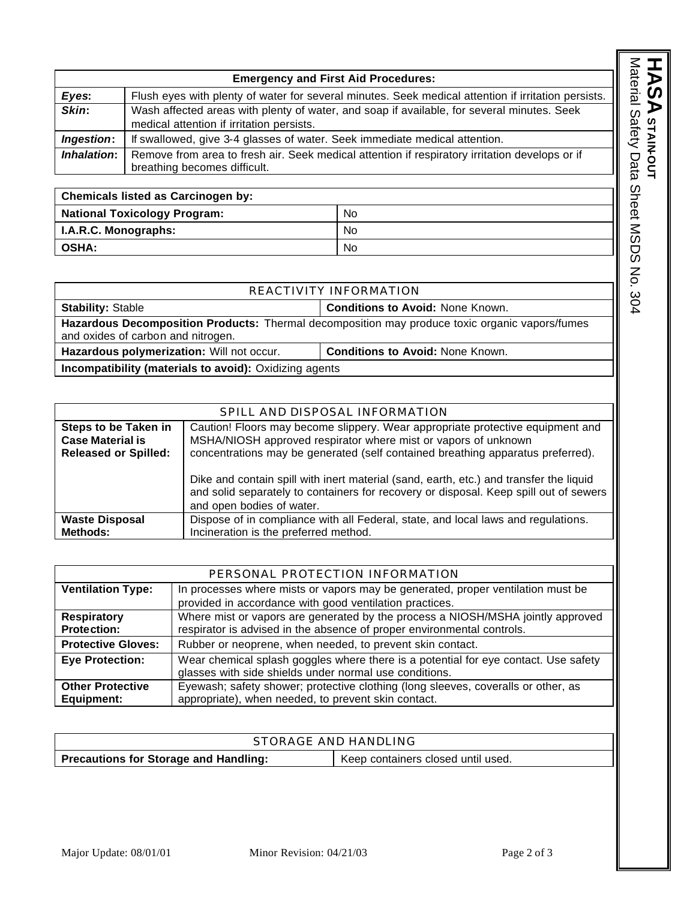|                          |                                                                                                                                | <b>Emergency and First Aid Procedures:</b>                                                          |
|--------------------------|--------------------------------------------------------------------------------------------------------------------------------|-----------------------------------------------------------------------------------------------------|
| Eyes:                    |                                                                                                                                | Flush eyes with plenty of water for several minutes. Seek medical attention if irritation persists. |
| Skin:                    | medical attention if irritation persists.                                                                                      | Wash affected areas with plenty of water, and soap if available, for several minutes. Seek          |
| Ingestion:               | If swallowed, give 3-4 glasses of water. Seek immediate medical attention.                                                     |                                                                                                     |
| Inhalation:              | Remove from area to fresh air. Seek medical attention if respiratory irritation develops or if<br>breathing becomes difficult. |                                                                                                     |
|                          |                                                                                                                                |                                                                                                     |
|                          | <b>Chemicals listed as Carcinogen by:</b>                                                                                      |                                                                                                     |
|                          | <b>National Toxicology Program:</b>                                                                                            | No.                                                                                                 |
| I.A.R.C. Monographs:     |                                                                                                                                | No.                                                                                                 |
| <b>OSHA:</b>             |                                                                                                                                | No.                                                                                                 |
|                          |                                                                                                                                |                                                                                                     |
|                          |                                                                                                                                |                                                                                                     |
|                          |                                                                                                                                | REACTIVITY INFORMATION                                                                              |
| <b>Stability: Stable</b> |                                                                                                                                | <b>Conditions to Avoid: None Known.</b>                                                             |

| Chemicals listed as Carcinogen by:  |           |
|-------------------------------------|-----------|
| <b>National Toxicology Program:</b> | <b>No</b> |
| I.A.R.C. Monographs:                | No        |
| <b>OSHA:</b>                        | <b>No</b> |

|                                                                                                                                      | REACTIVITY INFORMATION |  |
|--------------------------------------------------------------------------------------------------------------------------------------|------------------------|--|
| <b>Conditions to Avoid: None Known.</b><br><b>Stability: Stable</b>                                                                  |                        |  |
| Hazardous Decomposition Products: Thermal decomposition may produce toxic organic vapors/fumes<br>and oxides of carbon and nitrogen. |                        |  |
| Hazardous polymerization: Will not occur.<br><b>Conditions to Avoid: None Known.</b>                                                 |                        |  |
| Incompatibility (materials to avoid): Oxidizing agents                                                                               |                        |  |

| SPILL AND DISPOSAL INFORMATION                                                        |                                                                                                                                                                                                                                                                                                                               |  |  |
|---------------------------------------------------------------------------------------|-------------------------------------------------------------------------------------------------------------------------------------------------------------------------------------------------------------------------------------------------------------------------------------------------------------------------------|--|--|
| <b>Steps to be Taken in</b><br><b>Case Material is</b><br><b>Released or Spilled:</b> | Caution! Floors may become slippery. Wear appropriate protective equipment and<br>MSHA/NIOSH approved respirator where mist or vapors of unknown<br>concentrations may be generated (self contained breathing apparatus preferred).<br>Dike and contain spill with inert material (sand, earth, etc.) and transfer the liquid |  |  |
|                                                                                       | and solid separately to containers for recovery or disposal. Keep spill out of sewers<br>and open bodies of water.                                                                                                                                                                                                            |  |  |
| <b>Waste Disposal</b><br><b>Methods:</b>                                              | Dispose of in compliance with all Federal, state, and local laws and regulations.<br>Incineration is the preferred method.                                                                                                                                                                                                    |  |  |

| PERSONAL PROTECTION INFORMATION          |                                                                                                                                                           |  |
|------------------------------------------|-----------------------------------------------------------------------------------------------------------------------------------------------------------|--|
| <b>Ventilation Type:</b>                 | In processes where mists or vapors may be generated, proper ventilation must be<br>provided in accordance with good ventilation practices.                |  |
| <b>Respiratory</b><br><b>Protection:</b> | Where mist or vapors are generated by the process a NIOSH/MSHA jointly approved<br>respirator is advised in the absence of proper environmental controls. |  |
| <b>Protective Gloves:</b>                | Rubber or neoprene, when needed, to prevent skin contact.                                                                                                 |  |
| <b>Eye Protection:</b>                   | Wear chemical splash goggles where there is a potential for eye contact. Use safety<br>glasses with side shields under normal use conditions.             |  |
| <b>Other Protective</b><br>Equipment:    | Eyewash; safety shower; protective clothing (long sleeves, coveralls or other, as<br>appropriate), when needed, to prevent skin contact.                  |  |

| STORAGE AND HANDLING                         |                                    |  |
|----------------------------------------------|------------------------------------|--|
| <b>Precautions for Storage and Handling:</b> | Keep containers closed until used. |  |